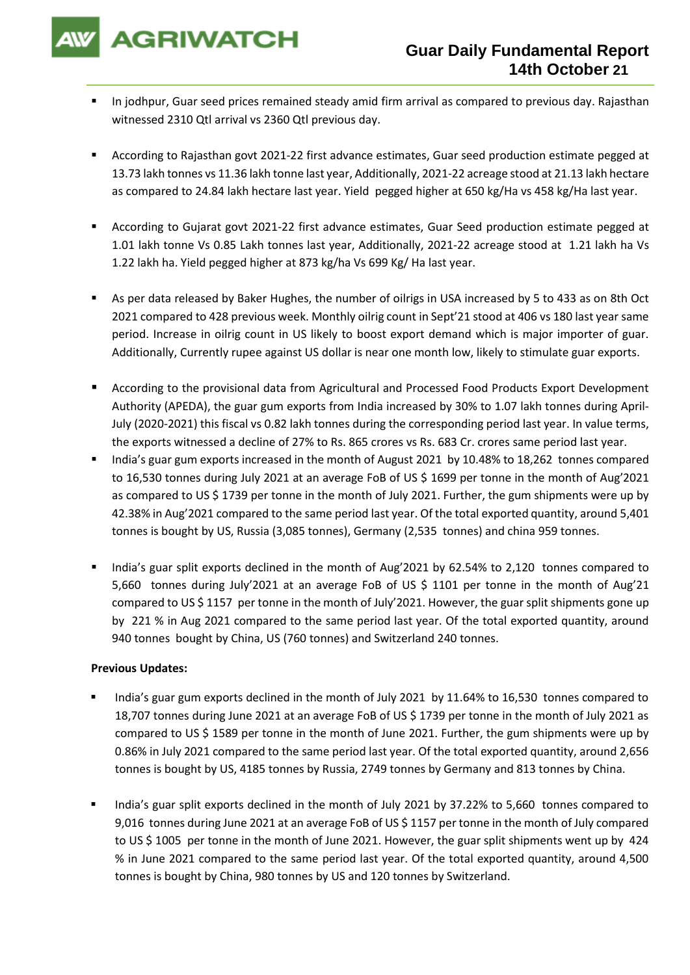**AGRIWATCH** 

- **■** In jodhpur, Guar seed prices remained steady amid firm arrival as compared to previous day. Rajasthan witnessed 2310 Qtl arrival vs 2360 Qtl previous day.
- According to Rajasthan govt 2021-22 first advance estimates, Guar seed production estimate pegged at 13.73 lakh tonnes vs 11.36 lakh tonne last year, Additionally, 2021-22 acreage stood at 21.13 lakh hectare as compared to 24.84 lakh hectare last year. Yield pegged higher at 650 kg/Ha vs 458 kg/Ha last year.
- According to Gujarat govt 2021-22 first advance estimates, Guar Seed production estimate pegged at 1.01 lakh tonne Vs 0.85 Lakh tonnes last year, Additionally, 2021-22 acreage stood at 1.21 lakh ha Vs 1.22 lakh ha. Yield pegged higher at 873 kg/ha Vs 699 Kg/ Ha last year.
- As per data released by Baker Hughes, the number of oilrigs in USA increased by 5 to 433 as on 8th Oct 2021 compared to 428 previous week. Monthly oilrig count in Sept'21 stood at 406 vs 180 last year same period. Increase in oilrig count in US likely to boost export demand which is major importer of guar. Additionally, Currently rupee against US dollar is near one month low, likely to stimulate guar exports.
- According to the provisional data from Agricultural and Processed Food Products Export Development Authority (APEDA), the guar gum exports from India increased by 30% to 1.07 lakh tonnes during April-July (2020-2021) this fiscal vs 0.82 lakh tonnes during the corresponding period last year. In value terms, the exports witnessed a decline of 27% to Rs. 865 crores vs Rs. 683 Cr. crores same period last year.
- India's guar gum exports increased in the month of August 2021 by 10.48% to 18,262 tonnes compared to 16,530 tonnes during July 2021 at an average FoB of US \$ 1699 per tonne in the month of Aug'2021 as compared to US \$ 1739 per tonne in the month of July 2021. Further, the gum shipments were up by 42.38% in Aug'2021 compared to the same period last year. Of the total exported quantity, around 5,401 tonnes is bought by US, Russia (3,085 tonnes), Germany (2,535 tonnes) and china 959 tonnes.
- India's guar split exports declined in the month of Aug'2021 by 62.54% to 2,120 tonnes compared to 5,660 tonnes during July'2021 at an average FoB of US \$ 1101 per tonne in the month of Aug'21 compared to US \$ 1157 per tonne in the month of July'2021. However, the guar split shipments gone up by 221 % in Aug 2021 compared to the same period last year. Of the total exported quantity, around 940 tonnes bought by China, US (760 tonnes) and Switzerland 240 tonnes.

## **Previous Updates:**

- India's guar gum exports declined in the month of July 2021 by 11.64% to 16,530 tonnes compared to 18,707 tonnes during June 2021 at an average FoB of US \$ 1739 per tonne in the month of July 2021 as compared to US \$ 1589 per tonne in the month of June 2021. Further, the gum shipments were up by 0.86% in July 2021 compared to the same period last year. Of the total exported quantity, around 2,656 tonnes is bought by US, 4185 tonnes by Russia, 2749 tonnes by Germany and 813 tonnes by China.
- India's guar split exports declined in the month of July 2021 by 37.22% to 5,660 tonnes compared to 9,016 tonnes during June 2021 at an average FoB of US \$ 1157 per tonne in the month of July compared to US \$ 1005 per tonne in the month of June 2021. However, the guar split shipments went up by 424 % in June 2021 compared to the same period last year. Of the total exported quantity, around 4,500 tonnes is bought by China, 980 tonnes by US and 120 tonnes by Switzerland.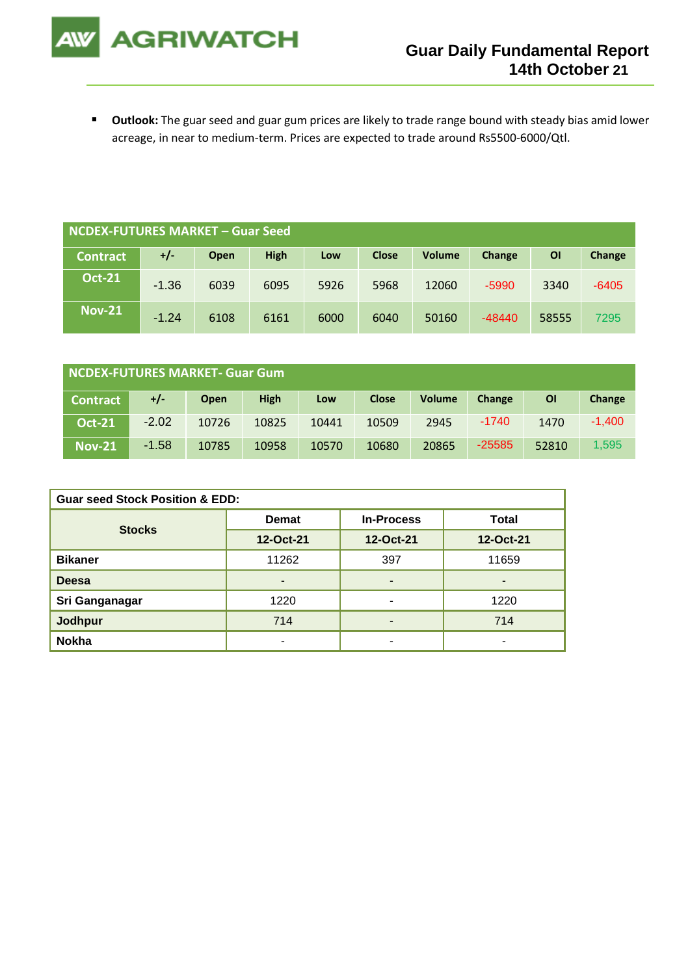

■ Outlook: The guar seed and guar gum prices are likely to trade range bound with steady bias amid lower acreage, in near to medium-term. Prices are expected to trade around Rs5500-6000/Qtl.

| NCDEX-FUTURES MARKET – Guar Seed |         |      |             |      |              |               |          |       |         |
|----------------------------------|---------|------|-------------|------|--------------|---------------|----------|-------|---------|
| <b>Contract</b>                  | +/-     | Open | <b>High</b> | Low  | <b>Close</b> | <b>Volume</b> | Change   | OI    | Change  |
| <b>Oct-21</b>                    | $-1.36$ | 6039 | 6095        | 5926 | 5968         | 12060         | $-5990$  | 3340  | $-6405$ |
| <b>Nov-21</b>                    | $-1.24$ | 6108 | 6161        | 6000 | 6040         | 50160         | $-48440$ | 58555 | 7295    |

| NCDEX-FUTURES MARKET- Guar Gum |         |       |       |       |              |               |          |       |          |
|--------------------------------|---------|-------|-------|-------|--------------|---------------|----------|-------|----------|
| <b>Contract</b>                | +/-     | Open  | High  | Low   | <b>Close</b> | <b>Volume</b> | Change   | ΟI    | Change   |
| <b>Oct-21</b>                  | $-2.02$ | 10726 | 10825 | 10441 | 10509        | 2945          | $-1740$  | 1470  | $-1.400$ |
| <b>Nov-21</b>                  | $-1.58$ | 10785 | 10958 | 10570 | 10680        | 20865         | $-25585$ | 52810 | 1,595    |

| <b>Guar seed Stock Position &amp; EDD:</b> |              |                   |                          |  |  |  |
|--------------------------------------------|--------------|-------------------|--------------------------|--|--|--|
| <b>Stocks</b>                              | <b>Demat</b> | <b>In-Process</b> | Total                    |  |  |  |
|                                            | 12-Oct-21    | 12-Oct-21         | 12-Oct-21                |  |  |  |
| <b>Bikaner</b>                             | 11262        | 397               | 11659                    |  |  |  |
| <b>Deesa</b>                               | -            | ٠                 | $\overline{\phantom{0}}$ |  |  |  |
| Sri Ganganagar                             | 1220         | ٠                 | 1220                     |  |  |  |
| <b>Jodhpur</b>                             | 714          | -                 | 714                      |  |  |  |
| <b>Nokha</b>                               |              | ۰                 | -                        |  |  |  |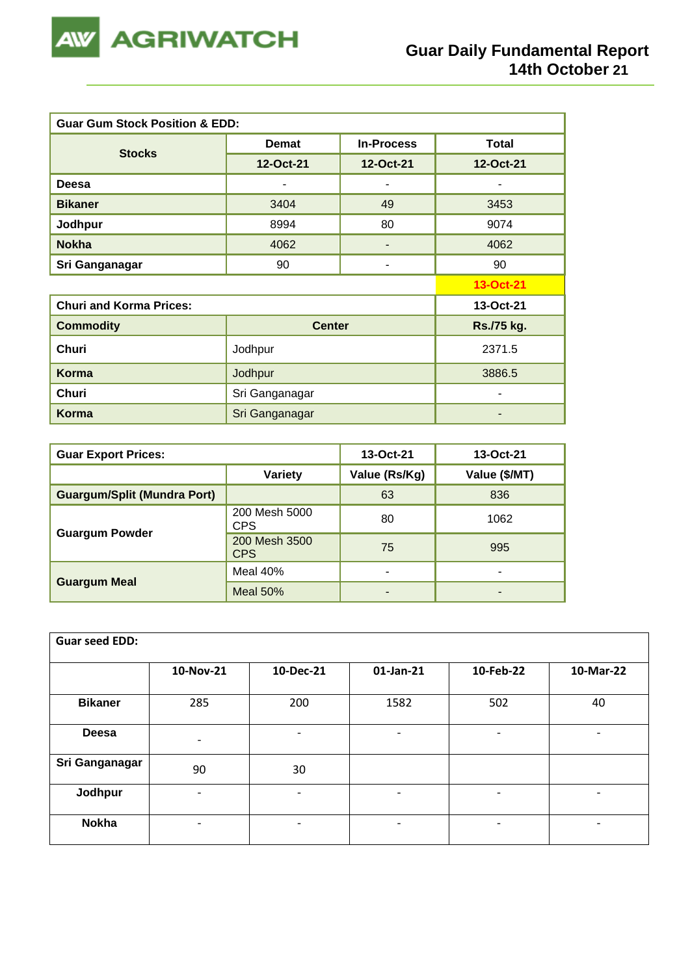

| <b>Guar Gum Stock Position &amp; EDD:</b> |                |                   |              |  |  |  |  |
|-------------------------------------------|----------------|-------------------|--------------|--|--|--|--|
|                                           | <b>Demat</b>   | <b>In-Process</b> | <b>Total</b> |  |  |  |  |
| <b>Stocks</b>                             | 12-Oct-21      | 12-Oct-21         | 12-Oct-21    |  |  |  |  |
| Deesa                                     |                |                   |              |  |  |  |  |
| <b>Bikaner</b>                            | 3404           | 49                | 3453         |  |  |  |  |
| Jodhpur                                   | 8994           | 80                | 9074         |  |  |  |  |
| <b>Nokha</b>                              | 4062           |                   | 4062         |  |  |  |  |
| Sri Ganganagar                            | 90             | ۰                 | 90           |  |  |  |  |
|                                           |                |                   | 13-Oct-21    |  |  |  |  |
| <b>Churi and Korma Prices:</b>            |                |                   | 13-Oct-21    |  |  |  |  |
| <b>Commodity</b>                          | <b>Center</b>  |                   | Rs./75 kg.   |  |  |  |  |
| <b>Churi</b>                              | Jodhpur        |                   |              |  |  |  |  |
| <b>Korma</b>                              | Jodhpur        | 3886.5            |              |  |  |  |  |
| Churi                                     | Sri Ganganagar |                   |              |  |  |  |  |
| Korma                                     | Sri Ganganagar |                   |              |  |  |  |  |

| <b>Guar Export Prices:</b>         | 13-Oct-21                   | 13-Oct-21     |               |
|------------------------------------|-----------------------------|---------------|---------------|
|                                    | Variety                     | Value (Rs/Kg) | Value (\$/MT) |
| <b>Guargum/Split (Mundra Port)</b> |                             | 63            | 836           |
|                                    | 200 Mesh 5000<br><b>CPS</b> | 80            | 1062          |
| <b>Guargum Powder</b>              | 200 Mesh 3500<br><b>CPS</b> | 75            | 995           |
|                                    | Meal $40%$                  |               | -             |
| <b>Guargum Meal</b>                | Meal $50%$                  | -             | -             |

| <b>Guar seed EDD:</b> |                          |                |                              |                          |                              |
|-----------------------|--------------------------|----------------|------------------------------|--------------------------|------------------------------|
|                       | 10-Nov-21                | 10-Dec-21      | 01-Jan-21                    | 10-Feb-22                | 10-Mar-22                    |
| <b>Bikaner</b>        | 285                      | 200            | 1582                         | 502                      | 40                           |
| <b>Deesa</b>          | $\overline{\phantom{a}}$ | $\overline{a}$ | $\overline{\phantom{a}}$     | $\overline{\phantom{a}}$ | $\qquad \qquad \blacksquare$ |
| Sri Ganganagar        | 90                       | 30             |                              |                          |                              |
| Jodhpur               | $\overline{\phantom{a}}$ | $\blacksquare$ | $\qquad \qquad \blacksquare$ | -                        |                              |
| <b>Nokha</b>          | ٠                        |                | $\qquad \qquad \blacksquare$ | -                        | $\overline{\phantom{a}}$     |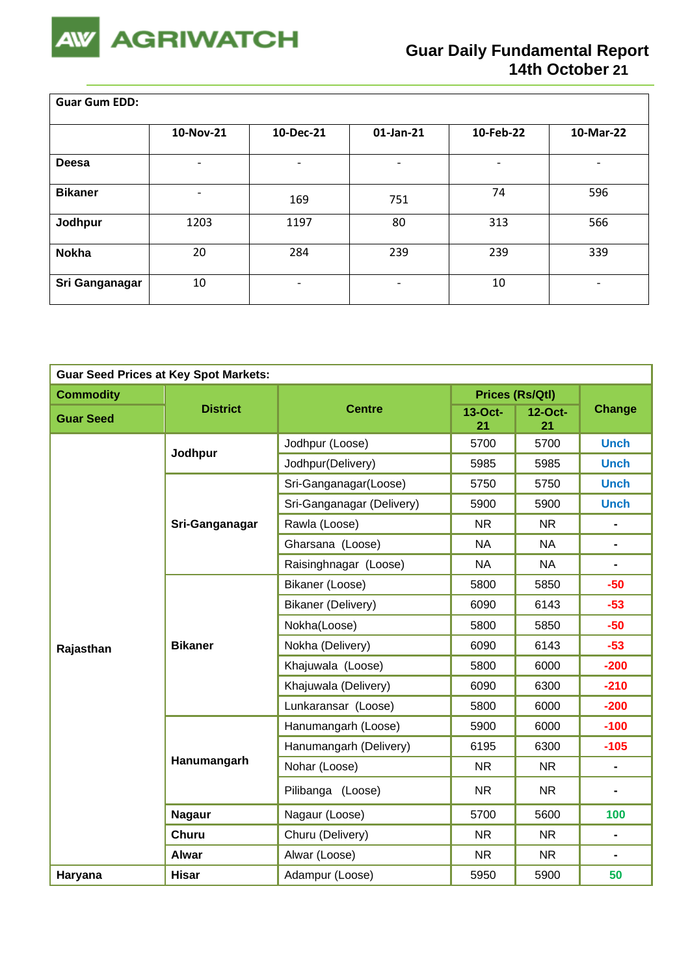

<u> Tanzania (m. 1888)</u>

 $\overline{\mathsf{L}}$ 

| <b>Guar Gum EDD:</b> |                          |                          |                          |           |                          |  |  |  |
|----------------------|--------------------------|--------------------------|--------------------------|-----------|--------------------------|--|--|--|
|                      | 10-Nov-21                | 10-Dec-21                | 01-Jan-21                | 10-Feb-22 | 10-Mar-22                |  |  |  |
| Deesa                | $\overline{\phantom{0}}$ |                          |                          |           | $\overline{\phantom{a}}$ |  |  |  |
| <b>Bikaner</b>       |                          | 169                      | 751                      | 74        | 596                      |  |  |  |
| Jodhpur              | 1203                     | 1197                     | 80                       | 313       | 566                      |  |  |  |
| <b>Nokha</b>         | 20                       | 284                      | 239                      | 239       | 339                      |  |  |  |
| Sri Ganganagar       | 10                       | $\overline{\phantom{0}}$ | $\overline{\phantom{0}}$ | 10        | $\overline{\phantom{a}}$ |  |  |  |

| <b>Guar Seed Prices at Key Spot Markets:</b> |                 |                           |               |                        |                |  |  |
|----------------------------------------------|-----------------|---------------------------|---------------|------------------------|----------------|--|--|
| <b>Commodity</b>                             |                 |                           |               | <b>Prices (Rs/Qtl)</b> |                |  |  |
| <b>Guar Seed</b>                             | <b>District</b> | <b>Centre</b>             | 13-Oct-<br>21 | $12$ -Oct-<br>21       | <b>Change</b>  |  |  |
|                                              | Jodhpur         | Jodhpur (Loose)           | 5700          | 5700                   | <b>Unch</b>    |  |  |
|                                              |                 | Jodhpur(Delivery)         | 5985          | 5985                   | <b>Unch</b>    |  |  |
|                                              |                 | Sri-Ganganagar(Loose)     | 5750          | 5750                   | <b>Unch</b>    |  |  |
|                                              |                 | Sri-Ganganagar (Delivery) | 5900          | 5900                   | <b>Unch</b>    |  |  |
|                                              | Sri-Ganganagar  | Rawla (Loose)             | <b>NR</b>     | <b>NR</b>              | $\blacksquare$ |  |  |
|                                              |                 | Gharsana (Loose)          | <b>NA</b>     | <b>NA</b>              | $\blacksquare$ |  |  |
|                                              |                 | Raisinghnagar (Loose)     | <b>NA</b>     | <b>NA</b>              |                |  |  |
|                                              |                 | Bikaner (Loose)           | 5800          | 5850                   | $-50$          |  |  |
|                                              | <b>Bikaner</b>  | Bikaner (Delivery)        | 6090          | 6143                   | $-53$          |  |  |
|                                              |                 | Nokha(Loose)              | 5800          | 5850                   | $-50$          |  |  |
| Rajasthan                                    |                 | Nokha (Delivery)          | 6090          | 6143                   | $-53$          |  |  |
|                                              |                 | Khajuwala (Loose)         | 5800          | 6000                   | $-200$         |  |  |
|                                              |                 | Khajuwala (Delivery)      | 6090          | 6300                   | $-210$         |  |  |
|                                              |                 | Lunkaransar (Loose)       | 5800          | 6000                   | $-200$         |  |  |
|                                              |                 | Hanumangarh (Loose)       | 5900          | 6000                   | $-100$         |  |  |
|                                              |                 | Hanumangarh (Delivery)    | 6195          | 6300                   | $-105$         |  |  |
|                                              | Hanumangarh     | Nohar (Loose)             | <b>NR</b>     | <b>NR</b>              | $\blacksquare$ |  |  |
|                                              |                 | Pilibanga (Loose)         | <b>NR</b>     | <b>NR</b>              | $\blacksquare$ |  |  |
|                                              | <b>Nagaur</b>   | Nagaur (Loose)            | 5700          | 5600                   | 100            |  |  |
|                                              | <b>Churu</b>    | Churu (Delivery)          | <b>NR</b>     | <b>NR</b>              | $\blacksquare$ |  |  |
|                                              | Alwar           | Alwar (Loose)             | <b>NR</b>     | <b>NR</b>              | $\blacksquare$ |  |  |
| Haryana                                      | <b>Hisar</b>    | Adampur (Loose)           | 5950          | 5900                   | 50             |  |  |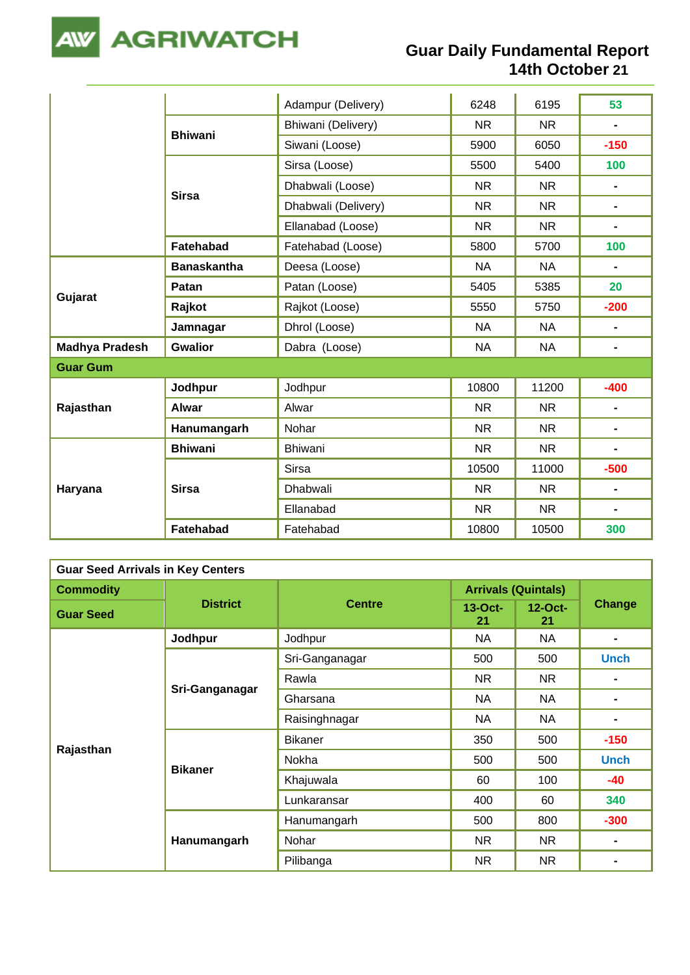

|                       |                    | Adampur (Delivery)  | 6248      | 6195      | 53                           |
|-----------------------|--------------------|---------------------|-----------|-----------|------------------------------|
|                       | <b>Bhiwani</b>     | Bhiwani (Delivery)  | <b>NR</b> | <b>NR</b> | $\blacksquare$               |
|                       |                    | Siwani (Loose)      | 5900      | 6050      | $-150$                       |
|                       |                    | Sirsa (Loose)       | 5500      | 5400      | 100                          |
|                       | <b>Sirsa</b>       | Dhabwali (Loose)    | <b>NR</b> | <b>NR</b> | $\blacksquare$               |
|                       |                    | Dhabwali (Delivery) | <b>NR</b> | <b>NR</b> | $\qquad \qquad \blacksquare$ |
|                       |                    | Ellanabad (Loose)   | <b>NR</b> | <b>NR</b> | $\blacksquare$               |
|                       | <b>Fatehabad</b>   | Fatehabad (Loose)   | 5800      | 5700      | 100                          |
|                       | <b>Banaskantha</b> | Deesa (Loose)       | <b>NA</b> | <b>NA</b> | $\qquad \qquad \blacksquare$ |
|                       | Patan              | Patan (Loose)       | 5405      | 5385      | 20                           |
| Gujarat               | Rajkot             | Rajkot (Loose)      | 5550      | 5750      | $-200$                       |
|                       | Jamnagar           | Dhrol (Loose)       | <b>NA</b> | <b>NA</b> | $\qquad \qquad \blacksquare$ |
| <b>Madhya Pradesh</b> | <b>Gwalior</b>     | Dabra (Loose)       | <b>NA</b> | <b>NA</b> | $\qquad \qquad \blacksquare$ |
| <b>Guar Gum</b>       |                    |                     |           |           |                              |
|                       | Jodhpur            | Jodhpur             | 10800     | 11200     | $-400$                       |
| Rajasthan             | <b>Alwar</b>       | Alwar               | <b>NR</b> | <b>NR</b> | $\blacksquare$               |
|                       | Hanumangarh        | Nohar               | <b>NR</b> | <b>NR</b> | $\blacksquare$               |
|                       | <b>Bhiwani</b>     | Bhiwani             | <b>NR</b> | <b>NR</b> | $\blacksquare$               |
| Haryana               |                    | <b>Sirsa</b>        | 10500     | 11000     | $-500$                       |
|                       | <b>Sirsa</b>       | <b>Dhabwali</b>     | <b>NR</b> | <b>NR</b> | $\blacksquare$               |
|                       |                    | Ellanabad           | <b>NR</b> | <b>NR</b> | $\blacksquare$               |
|                       | <b>Fatehabad</b>   | Fatehabad           | 10800     | 10500     | 300                          |

| <b>Guar Seed Arrivals in Key Centers</b> |                 |                |                            |                  |                |  |  |  |
|------------------------------------------|-----------------|----------------|----------------------------|------------------|----------------|--|--|--|
| <b>Commodity</b>                         |                 |                | <b>Arrivals (Quintals)</b> |                  |                |  |  |  |
| <b>Guar Seed</b>                         | <b>District</b> | <b>Centre</b>  | $13$ -Oct-<br>21           | $12$ -Oct-<br>21 | <b>Change</b>  |  |  |  |
|                                          | Jodhpur         | Jodhpur        | NA                         | NA               | $\blacksquare$ |  |  |  |
|                                          |                 | Sri-Ganganagar | 500                        | 500              | <b>Unch</b>    |  |  |  |
|                                          | Sri-Ganganagar  | Rawla          | <b>NR</b>                  | <b>NR</b>        | $\blacksquare$ |  |  |  |
|                                          |                 | Gharsana       | <b>NA</b>                  | <b>NA</b>        |                |  |  |  |
|                                          |                 | Raisinghnagar  | <b>NA</b>                  | NA               |                |  |  |  |
| Rajasthan                                |                 | <b>Bikaner</b> | 350                        | 500              | $-150$         |  |  |  |
|                                          |                 | Nokha          | 500                        | 500              | <b>Unch</b>    |  |  |  |
|                                          | <b>Bikaner</b>  | Khajuwala      | 60                         | 100              | $-40$          |  |  |  |
|                                          |                 | Lunkaransar    | 400                        | 60               | 340            |  |  |  |
|                                          |                 | Hanumangarh    | 500                        | 800              | $-300$         |  |  |  |
|                                          | Hanumangarh     | Nohar          | <b>NR</b>                  | <b>NR</b>        | $\blacksquare$ |  |  |  |
|                                          |                 | Pilibanga      | <b>NR</b>                  | <b>NR</b>        |                |  |  |  |